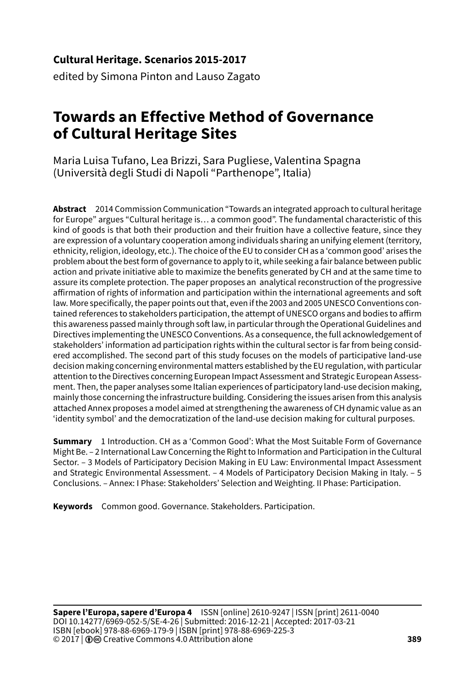### **Cultural Heritage. Scenarios 2015-2017**

edited by Simona Pinton and Lauso Zagato

# **Towards an Effective Method of Governance of Cultural Heritage Sites**

Maria Luisa Tufano, Lea Brizzi, Sara Pugliese, Valentina Spagna (Università degli Studi di Napoli "Parthenope", Italia)

**Abstract** 2014 Commission Communication "Towards an integrated approach to cultural heritage for Europe" argues "Cultural heritage is… a common good". The fundamental characteristic of this kind of goods is that both their production and their fruition have a collective feature, since they are expression of a voluntary cooperation among individuals sharing an unifying element (territory, ethnicity, religion, ideology, etc.). The choice of the EU to consider CH as a 'common good' arises the problem about the best form of governance to apply to it, while seeking a fair balance between public action and private initiative able to maximize the benefits generated by CH and at the same time to assure its complete protection. The paper proposes an analytical reconstruction of the progressive affirmation of rights of information and participation within the international agreements and soft law. More specifically, the paper points out that, even if the 2003 and 2005 UNESCO Conventions contained references to stakeholders participation, the attempt of UNESCO organs and bodies to affirm this awareness passed mainly through soft law, in particular through the Operational Guidelines and Directives implementing the UNESCO Conventions. As a consequence, the full acknowledgement of stakeholders' information ad participation rights within the cultural sector is far from being considered accomplished. The second part of this study focuses on the models of participative land-use decision making concerning environmental matters established by the EU regulation, with particular attention to the Directives concerning European Impact Assessment and Strategic European Assessment. Then, the paper analyses some Italian experiences of participatory land-use decision making, mainly those concerning the infrastructure building. Considering the issues arisen from this analysis attached Annex proposes a model aimed at strengthening the awareness of CH dynamic value as an 'identity symbol' and the democratization of the land-use decision making for cultural purposes.

**Summary** 1 Introduction. CH as a 'Common Good': What the Most Suitable Form of Governance Might Be. – 2 International Law Concerning the Right to Information and Participation in the Cultural Sector. – 3 Models of Participatory Decision Making in EU Law: Environmental Impact Assessment and Strategic Environmental Assessment. – 4 Models of Participatory Decision Making in Italy. – 5 Conclusions. – Annex: I Phase: Stakeholders' Selection and Weighting. II Phase: Participation.

**Keywords** Common good. Governance. Stakeholders. Participation.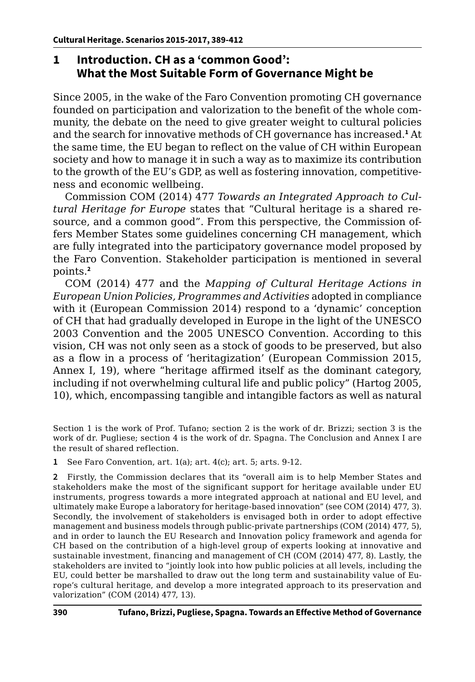# **1 Introduction. CH as a 'common Good': What the Most Suitable Form of Governance Might be**

Since 2005, in the wake of the Faro Convention promoting CH governance founded on participation and valorization to the benefit of the whole community, the debate on the need to give greater weight to cultural policies and the search for innovative methods of CH governance has increased.**<sup>1</sup>** At the same time, the EU began to reflect on the value of CH within European society and how to manage it in such a way as to maximize its contribution to the growth of the EU's GDP, as well as fostering innovation, competitiveness and economic wellbeing.

Commission COM (2014) 477 *Towards an Integrated Approach to Cultural Heritage for Europe* states that "Cultural heritage is a shared resource, and a common good". From this perspective, the Commission offers Member States some guidelines concerning CH management, which are fully integrated into the participatory governance model proposed by the Faro Convention. Stakeholder participation is mentioned in several points.**<sup>2</sup>**

COM (2014) 477 and the *Mapping of Cultural Heritage Actions in European Union Policies, Programmes and Activities* adopted in compliance with it (European Commission 2014) respond to a 'dynamic' conception of CH that had gradually developed in Europe in the light of the UNESCO 2003 Convention and the 2005 UNESCO Convention. According to this vision, CH was not only seen as a stock of goods to be preserved, but also as a flow in a process of 'heritagization' (European Commission 2015, Annex I, 19), where "heritage affirmed itself as the dominant category, including if not overwhelming cultural life and public policy" (Hartog 2005, 10), which, encompassing tangible and intangible factors as well as natural

Section 1 is the work of Prof. Tufano; section 2 is the work of dr. Brizzi; section 3 is the work of dr. Pugliese; section 4 is the work of dr. Spagna. The Conclusion and Annex I are the result of shared reflection.

**1** See Faro Convention, art. 1(a); art. 4(c); art. 5; arts. 9-12.

**2** Firstly, the Commission declares that its "overall aim is to help Member States and stakeholders make the most of the significant support for heritage available under EU instruments, progress towards a more integrated approach at national and EU level, and ultimately make Europe a laboratory for heritage-based innovation" (see COM (2014) 477, 3). Secondly, the involvement of stakeholders is envisaged both in order to adopt effective management and business models through public-private partnerships (COM (2014) 477, 5), and in order to launch the EU Research and Innovation policy framework and agenda for CH based on the contribution of a high-level group of experts looking at innovative and sustainable investment, financing and management of CH (COM (2014) 477, 8). Lastly, the stakeholders are invited to "jointly look into how public policies at all levels, including the EU, could better be marshalled to draw out the long term and sustainability value of Europe's cultural heritage, and develop a more integrated approach to its preservation and valorization" (COM (2014) 477, 13).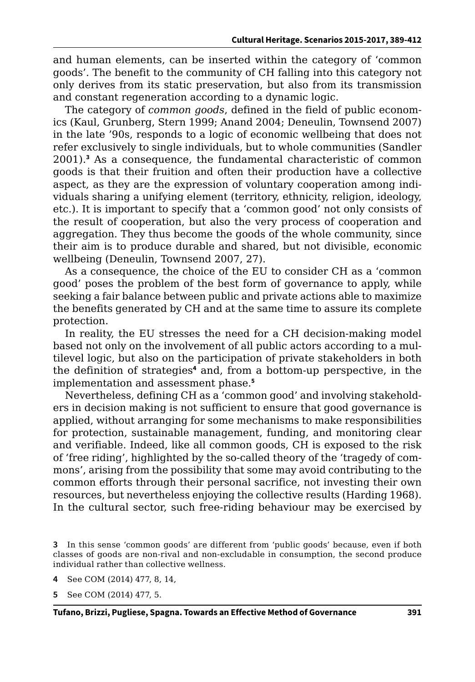and human elements, can be inserted within the category of 'common goods'. The benefit to the community of CH falling into this category not only derives from its static preservation, but also from its transmission and constant regeneration according to a dynamic logic.

The category of *common goods*, defined in the field of public economics (Kaul, Grunberg, Stern 1999; Anand 2004; Deneulin, Townsend 2007) in the late '90s, responds to a logic of economic wellbeing that does not refer exclusively to single individuals, but to whole communities (Sandler 2001).**<sup>3</sup>** As a consequence, the fundamental characteristic of common goods is that their fruition and often their production have a collective aspect, as they are the expression of voluntary cooperation among individuals sharing a unifying element (territory, ethnicity, religion, ideology, etc.). It is important to specify that a 'common good' not only consists of the result of cooperation, but also the very process of cooperation and aggregation. They thus become the goods of the whole community, since their aim is to produce durable and shared, but not divisible, economic wellbeing (Deneulin, Townsend 2007, 27).

As a consequence, the choice of the EU to consider CH as a 'common good' poses the problem of the best form of governance to apply, while seeking a fair balance between public and private actions able to maximize the benefits generated by CH and at the same time to assure its complete protection.

In reality, the EU stresses the need for a CH decision-making model based not only on the involvement of all public actors according to a multilevel logic, but also on the participation of private stakeholders in both the definition of strategies<sup>4</sup> and, from a bottom-up perspective, in the implementation and assessment phase.**<sup>5</sup>**

Nevertheless, defining CH as a 'common good' and involving stakeholders in decision making is not sufficient to ensure that good governance is applied, without arranging for some mechanisms to make responsibilities for protection, sustainable management, funding, and monitoring clear and verifiable. Indeed, like all common goods, CH is exposed to the risk of 'free riding', highlighted by the so-called theory of the 'tragedy of commons', arising from the possibility that some may avoid contributing to the common efforts through their personal sacrifice, not investing their own resources, but nevertheless enjoying the collective results (Harding 1968). In the cultural sector, such free-riding behaviour may be exercised by

**<sup>3</sup>** In this sense 'common goods' are different from 'public goods' because, even if both classes of goods are non-rival and non-excludable in consumption, the second produce individual rather than collective wellness.

**<sup>4</sup>** See COM (2014) 477, 8, 14,

**<sup>5</sup>** See COM (2014) 477, 5.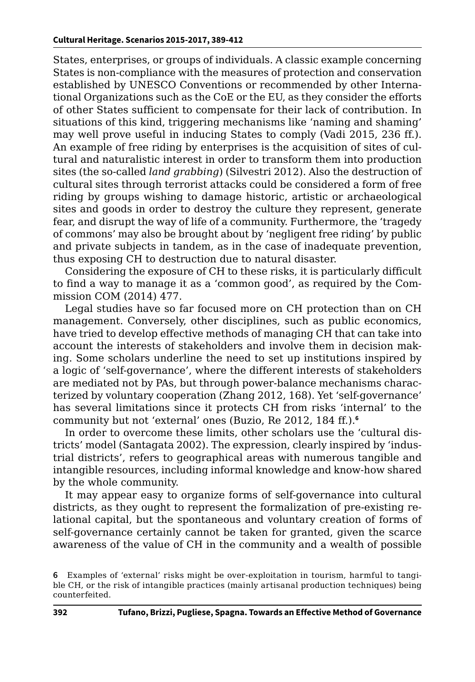States, enterprises, or groups of individuals. A classic example concerning States is non-compliance with the measures of protection and conservation established by UNESCO Conventions or recommended by other International Organizations such as the CoE or the EU, as they consider the efforts of other States sufficient to compensate for their lack of contribution. In situations of this kind, triggering mechanisms like 'naming and shaming' may well prove useful in inducing States to comply (Vadi 2015, 236 ff.). An example of free riding by enterprises is the acquisition of sites of cultural and naturalistic interest in order to transform them into production sites (the so-called *land grabbing*) (Silvestri 2012). Also the destruction of cultural sites through terrorist attacks could be considered a form of free riding by groups wishing to damage historic, artistic or archaeological sites and goods in order to destroy the culture they represent, generate fear, and disrupt the way of life of a community. Furthermore, the 'tragedy of commons' may also be brought about by 'negligent free riding' by public and private subjects in tandem, as in the case of inadequate prevention, thus exposing CH to destruction due to natural disaster.

Considering the exposure of CH to these risks, it is particularly difficult to find a way to manage it as a 'common good', as required by the Commission COM (2014) 477.

Legal studies have so far focused more on CH protection than on CH management. Conversely, other disciplines, such as public economics, have tried to develop effective methods of managing CH that can take into account the interests of stakeholders and involve them in decision making. Some scholars underline the need to set up institutions inspired by a logic of 'self-governance', where the different interests of stakeholders are mediated not by PAs, but through power-balance mechanisms characterized by voluntary cooperation (Zhang 2012, 168). Yet 'self-governance' has several limitations since it protects CH from risks 'internal' to the community but not 'external' ones (Buzio, Re 2012, 184 ff.).**<sup>6</sup>**

In order to overcome these limits, other scholars use the 'cultural districts' model (Santagata 2002). The expression, clearly inspired by 'industrial districts', refers to geographical areas with numerous tangible and intangible resources, including informal knowledge and know-how shared by the whole community.

It may appear easy to organize forms of self-governance into cultural districts, as they ought to represent the formalization of pre-existing relational capital, but the spontaneous and voluntary creation of forms of self-governance certainly cannot be taken for granted, given the scarce awareness of the value of CH in the community and a wealth of possible

**<sup>6</sup>** Examples of 'external' risks might be over-exploitation in tourism, harmful to tangible CH, or the risk of intangible practices (mainly artisanal production techniques) being counterfeited.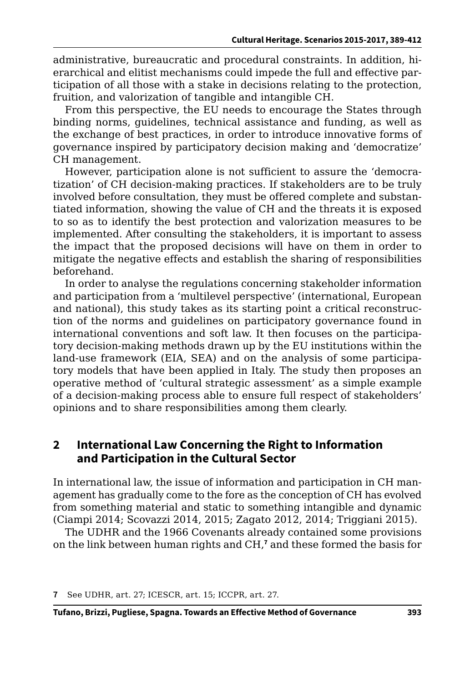administrative, bureaucratic and procedural constraints. In addition, hierarchical and elitist mechanisms could impede the full and effective participation of all those with a stake in decisions relating to the protection, fruition, and valorization of tangible and intangible CH.

From this perspective, the EU needs to encourage the States through binding norms, guidelines, technical assistance and funding, as well as the exchange of best practices, in order to introduce innovative forms of governance inspired by participatory decision making and 'democratize' CH management.

However, participation alone is not sufficient to assure the 'democratization' of CH decision-making practices. If stakeholders are to be truly involved before consultation, they must be offered complete and substantiated information, showing the value of CH and the threats it is exposed to so as to identify the best protection and valorization measures to be implemented. After consulting the stakeholders, it is important to assess the impact that the proposed decisions will have on them in order to mitigate the negative effects and establish the sharing of responsibilities beforehand.

In order to analyse the regulations concerning stakeholder information and participation from a 'multilevel perspective' (international, European and national), this study takes as its starting point a critical reconstruction of the norms and guidelines on participatory governance found in international conventions and soft law. It then focuses on the participatory decision-making methods drawn up by the EU institutions within the land-use framework (EIA, SEA) and on the analysis of some participatory models that have been applied in Italy. The study then proposes an operative method of 'cultural strategic assessment' as a simple example of a decision-making process able to ensure full respect of stakeholders' opinions and to share responsibilities among them clearly.

### **2 International Law Concerning the Right to Information and Participation in the Cultural Sector**

In international law, the issue of information and participation in CH management has gradually come to the fore as the conception of CH has evolved from something material and static to something intangible and dynamic (Ciampi 2014; Scovazzi 2014, 2015; Zagato 2012, 2014; Triggiani 2015).

The UDHR and the 1966 Covenants already contained some provisions on the link between human rights and CH,**<sup>7</sup>** and these formed the basis for

**<sup>7</sup>** See UDHR, art. 27; ICESCR, art. 15; ICCPR, art. 27.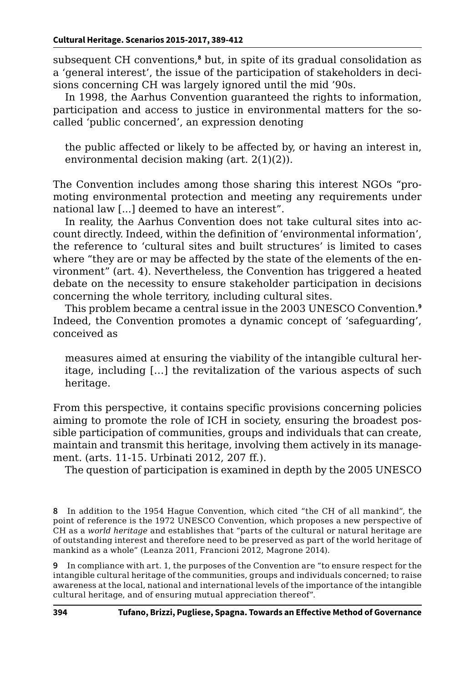subsequent CH conventions,**<sup>8</sup>** but, in spite of its gradual consolidation as a 'general interest', the issue of the participation of stakeholders in decisions concerning CH was largely ignored until the mid '90s.

In 1998, the Aarhus Convention guaranteed the rights to information, participation and access to justice in environmental matters for the socalled 'public concerned', an expression denoting

the public affected or likely to be affected by, or having an interest in, environmental decision making (art. 2(1)(2)).

The Convention includes among those sharing this interest NGOs "promoting environmental protection and meeting any requirements under national law [...] deemed to have an interest".

In reality, the Aarhus Convention does not take cultural sites into account directly. Indeed, within the definition of 'environmental information', the reference to 'cultural sites and built structures' is limited to cases where "they are or may be affected by the state of the elements of the environment" (art. 4). Nevertheless, the Convention has triggered a heated debate on the necessity to ensure stakeholder participation in decisions concerning the whole territory, including cultural sites.

This problem became a central issue in the 2003 UNESCO Convention.**<sup>9</sup>** Indeed, the Convention promotes a dynamic concept of 'safeguarding', conceived as

measures aimed at ensuring the viability of the intangible cultural heritage, including […] the revitalization of the various aspects of such heritage.

From this perspective, it contains specific provisions concerning policies aiming to promote the role of ICH in society, ensuring the broadest possible participation of communities, groups and individuals that can create, maintain and transmit this heritage, involving them actively in its management. (arts. 11-15. Urbinati 2012, 207 ff.).

The question of participation is examined in depth by the 2005 UNESCO

**9** In compliance with art. 1, the purposes of the Convention are "to ensure respect for the intangible cultural heritage of the communities, groups and individuals concerned; to raise awareness at the local, national and international levels of the importance of the intangible cultural heritage, and of ensuring mutual appreciation thereof".

**<sup>8</sup>** In addition to the 1954 Hague Convention, which cited "the CH of all mankind", the point of reference is the 1972 UNESCO Convention, which proposes a new perspective of CH as a *world heritage* and establishes that "parts of the cultural or natural heritage are of outstanding interest and therefore need to be preserved as part of the world heritage of mankind as a whole" (Leanza 2011, Francioni 2012, Magrone 2014).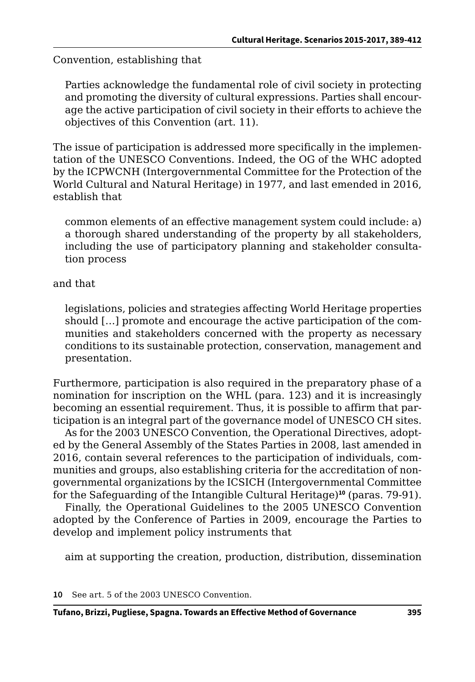Convention, establishing that

Parties acknowledge the fundamental role of civil society in protecting and promoting the diversity of cultural expressions. Parties shall encourage the active participation of civil society in their efforts to achieve the objectives of this Convention (art. 11).

The issue of participation is addressed more specifically in the implementation of the UNESCO Conventions. Indeed, the OG of the WHC adopted by the ICPWCNH (Intergovernmental Committee for the Protection of the World Cultural and Natural Heritage) in 1977, and last emended in 2016, establish that

common elements of an effective management system could include: a) a thorough shared understanding of the property by all stakeholders, including the use of participatory planning and stakeholder consultation process

#### and that

legislations, policies and strategies affecting World Heritage properties should […] promote and encourage the active participation of the communities and stakeholders concerned with the property as necessary conditions to its sustainable protection, conservation, management and presentation.

Furthermore, participation is also required in the preparatory phase of a nomination for inscription on the WHL (para. 123) and it is increasingly becoming an essential requirement. Thus, it is possible to affirm that participation is an integral part of the governance model of UNESCO CH sites.

As for the 2003 UNESCO Convention, the Operational Directives, adopted by the General Assembly of the States Parties in 2008, last amended in 2016, contain several references to the participation of individuals, communities and groups, also establishing criteria for the accreditation of nongovernmental organizations by the ICSICH (Intergovernmental Committee for the Safeguarding of the Intangible Cultural Heritage)**<sup>10</sup>** (paras. 79-91).

Finally, the Operational Guidelines to the 2005 UNESCO Convention adopted by the Conference of Parties in 2009, encourage the Parties to develop and implement policy instruments that

aim at supporting the creation, production, distribution, dissemination

**10** See art. 5 of the 2003 UNESCO Convention.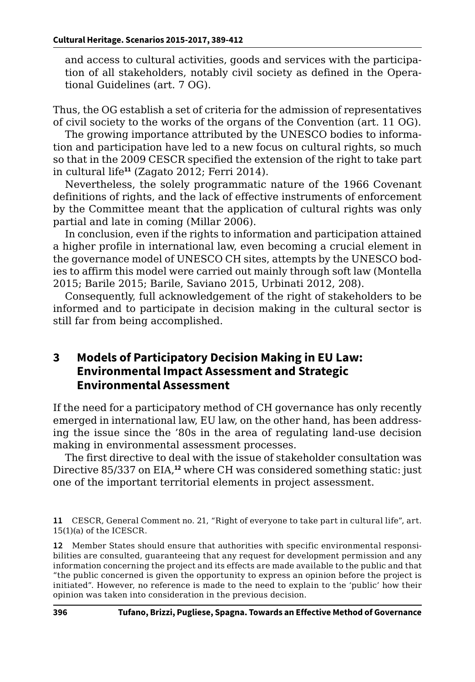and access to cultural activities, goods and services with the participation of all stakeholders, notably civil society as defined in the Operational Guidelines (art. 7 OG).

Thus, the OG establish a set of criteria for the admission of representatives of civil society to the works of the organs of the Convention (art. 11 OG).

The growing importance attributed by the UNESCO bodies to information and participation have led to a new focus on cultural rights, so much so that in the 2009 CESCR specified the extension of the right to take part in cultural life**<sup>11</sup>** (Zagato 2012; Ferri 2014).

Nevertheless, the solely programmatic nature of the 1966 Covenant definitions of rights, and the lack of effective instruments of enforcement by the Committee meant that the application of cultural rights was only partial and late in coming (Millar 2006).

In conclusion, even if the rights to information and participation attained a higher profile in international law, even becoming a crucial element in the governance model of UNESCO CH sites, attempts by the UNESCO bodies to affirm this model were carried out mainly through soft law (Montella 2015; Barile 2015; Barile, Saviano 2015, Urbinati 2012, 208).

Consequently, full acknowledgement of the right of stakeholders to be informed and to participate in decision making in the cultural sector is still far from being accomplished.

### **3 Models of Participatory Decision Making in EU Law: Environmental Impact Assessment and Strategic Environmental Assessment**

If the need for a participatory method of CH governance has only recently emerged in international law, EU law, on the other hand, has been addressing the issue since the '80s in the area of regulating land-use decision making in environmental assessment processes.

The first directive to deal with the issue of stakeholder consultation was Directive 85/337 on EIA,**<sup>12</sup>** where CH was considered something static: just one of the important territorial elements in project assessment.

**11** CESCR, General Comment no. 21, "Right of everyone to take part in cultural life", art. 15(1)(a) of the ICESCR.

**12** Member States should ensure that authorities with specific environmental responsibilities are consulted, guaranteeing that any request for development permission and any information concerning the project and its effects are made available to the public and that "the public concerned is given the opportunity to express an opinion before the project is initiated". However, no reference is made to the need to explain to the 'public' how their opinion was taken into consideration in the previous decision.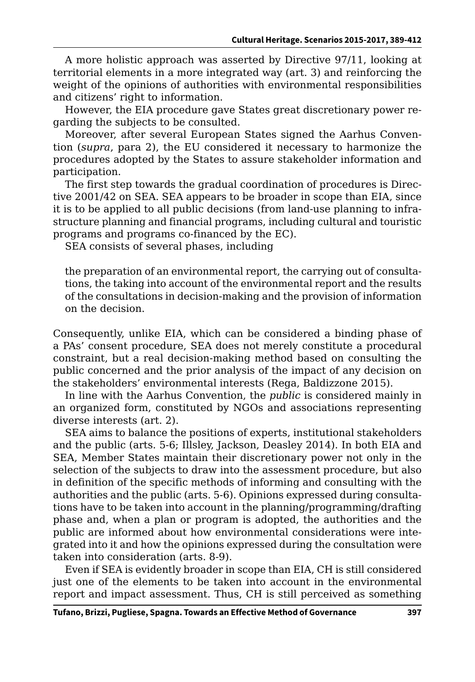A more holistic approach was asserted by Directive 97/11, looking at territorial elements in a more integrated way (art. 3) and reinforcing the weight of the opinions of authorities with environmental responsibilities and citizens' right to information.

However, the EIA procedure gave States great discretionary power regarding the subjects to be consulted.

Moreover, after several European States signed the Aarhus Convention (*supra*, para 2), the EU considered it necessary to harmonize the procedures adopted by the States to assure stakeholder information and participation.

The first step towards the gradual coordination of procedures is Directive 2001/42 on SEA. SEA appears to be broader in scope than EIA, since it is to be applied to all public decisions (from land-use planning to infrastructure planning and financial programs, including cultural and touristic programs and programs co-financed by the EC).

SEA consists of several phases, including

the preparation of an environmental report, the carrying out of consultations, the taking into account of the environmental report and the results of the consultations in decision-making and the provision of information on the decision.

Consequently, unlike EIA, which can be considered a binding phase of a PAs' consent procedure, SEA does not merely constitute a procedural constraint, but a real decision-making method based on consulting the public concerned and the prior analysis of the impact of any decision on the stakeholders' environmental interests (Rega, Baldizzone 2015).

In line with the Aarhus Convention, the *public* is considered mainly in an organized form, constituted by NGOs and associations representing diverse interests (art. 2).

SEA aims to balance the positions of experts, institutional stakeholders and the public (arts. 5-6; Illsley, Jackson, Deasley 2014). In both EIA and SEA, Member States maintain their discretionary power not only in the selection of the subjects to draw into the assessment procedure, but also in definition of the specific methods of informing and consulting with the authorities and the public (arts. 5-6). Opinions expressed during consultations have to be taken into account in the planning/programming/drafting phase and, when a plan or program is adopted, the authorities and the public are informed about how environmental considerations were integrated into it and how the opinions expressed during the consultation were taken into consideration (arts. 8-9).

Even if SEA is evidently broader in scope than EIA, CH is still considered just one of the elements to be taken into account in the environmental report and impact assessment. Thus, CH is still perceived as something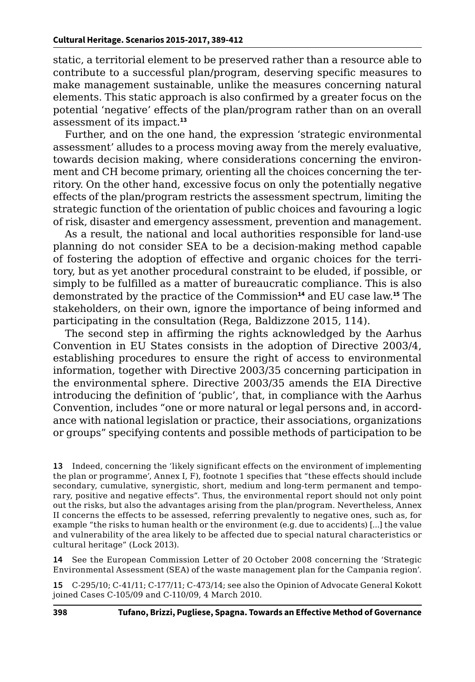static, a territorial element to be preserved rather than a resource able to contribute to a successful plan/program, deserving specific measures to make management sustainable, unlike the measures concerning natural elements. This static approach is also confirmed by a greater focus on the potential 'negative' effects of the plan/program rather than on an overall assessment of its impact.**<sup>13</sup>**

Further, and on the one hand, the expression 'strategic environmental assessment' alludes to a process moving away from the merely evaluative, towards decision making, where considerations concerning the environment and CH become primary, orienting all the choices concerning the territory. On the other hand, excessive focus on only the potentially negative effects of the plan/program restricts the assessment spectrum, limiting the strategic function of the orientation of public choices and favouring a logic of risk, disaster and emergency assessment, prevention and management.

As a result, the national and local authorities responsible for land-use planning do not consider SEA to be a decision-making method capable of fostering the adoption of effective and organic choices for the territory, but as yet another procedural constraint to be eluded, if possible, or simply to be fulfilled as a matter of bureaucratic compliance. This is also demonstrated by the practice of the Commission**<sup>14</sup>** and EU case law.**<sup>15</sup>** The stakeholders, on their own, ignore the importance of being informed and participating in the consultation (Rega, Baldizzone 2015, 114).

The second step in affirming the rights acknowledged by the Aarhus Convention in EU States consists in the adoption of Directive 2003/4, establishing procedures to ensure the right of access to environmental information, together with Directive 2003/35 concerning participation in the environmental sphere. Directive 2003/35 amends the EIA Directive introducing the definition of 'public', that, in compliance with the Aarhus Convention, includes "one or more natural or legal persons and, in accordance with national legislation or practice, their associations, organizations or groups" specifying contents and possible methods of participation to be

**13** Indeed, concerning the 'likely significant effects on the environment of implementing the plan or programme', Annex I, F), footnote 1 specifies that "these effects should include secondary, cumulative, synergistic, short, medium and long-term permanent and temporary, positive and negative effects". Thus, the environmental report should not only point out the risks, but also the advantages arising from the plan/program. Nevertheless, Annex II concerns the effects to be assessed, referring prevalently to negative ones, such as, for example "the risks to human health or the environment (e.g. due to accidents) [...] the value and vulnerability of the area likely to be affected due to special natural characteristics or cultural heritage" (Lock 2013).

**14** See the European Commission Letter of 20 October 2008 concerning the 'Strategic Environmental Assessment (SEA) of the waste management plan for the Campania region'.

**15** C-295/10; C-41/11; C-177/11; C-473/14; see also the Opinion of Advocate General Kokott joined Cases C-105/09 and C-110/09, 4 March 2010.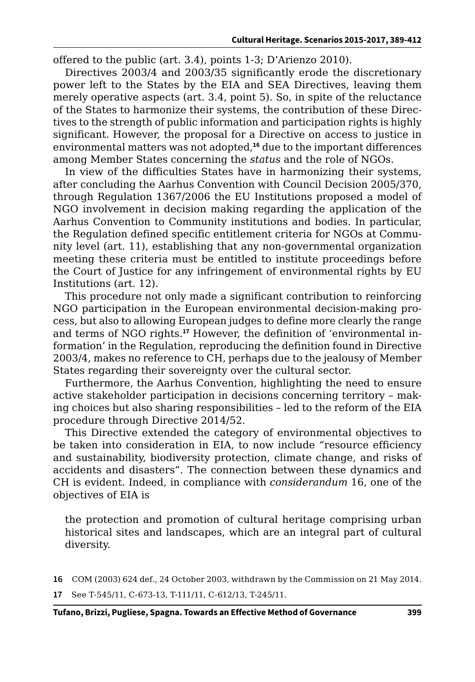offered to the public (art. 3.4), points 1-3; D'Arienzo 2010).

Directives 2003/4 and 2003/35 significantly erode the discretionary power left to the States by the EIA and SEA Directives, leaving them merely operative aspects (art. 3.4, point 5). So, in spite of the reluctance of the States to harmonize their systems, the contribution of these Directives to the strength of public information and participation rights is highly significant. However, the proposal for a Directive on access to justice in environmental matters was not adopted,**<sup>16</sup>** due to the important differences among Member States concerning the *status* and the role of NGOs.

In view of the difficulties States have in harmonizing their systems, after concluding the Aarhus Convention with Council Decision 2005/370, through Regulation 1367/2006 the EU Institutions proposed a model of NGO involvement in decision making regarding the application of the Aarhus Convention to Community institutions and bodies. In particular, the Regulation defined specific entitlement criteria for NGOs at Community level (art. 11), establishing that any non-governmental organization meeting these criteria must be entitled to institute proceedings before the Court of Justice for any infringement of environmental rights by EU Institutions (art. 12).

This procedure not only made a significant contribution to reinforcing NGO participation in the European environmental decision-making process, but also to allowing European judges to define more clearly the range and terms of NGO rights.**17** However, the definition of 'environmental information' in the Regulation, reproducing the definition found in Directive 2003/4, makes no reference to CH, perhaps due to the jealousy of Member States regarding their sovereignty over the cultural sector.

Furthermore, the Aarhus Convention, highlighting the need to ensure active stakeholder participation in decisions concerning territory – making choices but also sharing responsibilities – led to the reform of the EIA procedure through Directive 2014/52.

This Directive extended the category of environmental objectives to be taken into consideration in EIA, to now include "resource efficiency and sustainability, biodiversity protection, climate change, and risks of accidents and disasters". The connection between these dynamics and CH is evident. Indeed, in compliance with *considerandum* 16, one of the objectives of EIA is

the protection and promotion of cultural heritage comprising urban historical sites and landscapes, which are an integral part of cultural diversity.

**16** COM (2003) 624 def., 24 October 2003, withdrawn by the Commission on 21 May 2014.

**17** See T-545/11, C-673-13, T-111/11, C-612/13, T-245/11.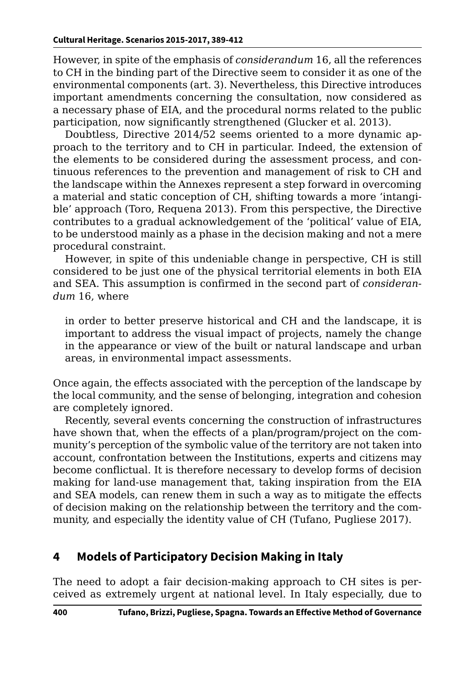However, in spite of the emphasis of *considerandum* 16, all the references to CH in the binding part of the Directive seem to consider it as one of the environmental components (art. 3). Nevertheless, this Directive introduces important amendments concerning the consultation, now considered as a necessary phase of EIA, and the procedural norms related to the public participation, now significantly strengthened (Glucker et al. 2013).

Doubtless, Directive 2014/52 seems oriented to a more dynamic approach to the territory and to CH in particular. Indeed, the extension of the elements to be considered during the assessment process, and continuous references to the prevention and management of risk to CH and the landscape within the Annexes represent a step forward in overcoming a material and static conception of CH, shifting towards a more 'intangible' approach (Toro, Requena 2013). From this perspective, the Directive contributes to a gradual acknowledgement of the 'political' value of EIA, to be understood mainly as a phase in the decision making and not a mere procedural constraint.

However, in spite of this undeniable change in perspective, CH is still considered to be just one of the physical territorial elements in both EIA and SEA. This assumption is confirmed in the second part of *considerandum* 16, where

in order to better preserve historical and CH and the landscape, it is important to address the visual impact of projects, namely the change in the appearance or view of the built or natural landscape and urban areas, in environmental impact assessments.

Once again, the effects associated with the perception of the landscape by the local community, and the sense of belonging, integration and cohesion are completely ignored.

Recently, several events concerning the construction of infrastructures have shown that, when the effects of a plan/program/project on the community's perception of the symbolic value of the territory are not taken into account, confrontation between the Institutions, experts and citizens may become conflictual. It is therefore necessary to develop forms of decision making for land-use management that, taking inspiration from the EIA and SEA models, can renew them in such a way as to mitigate the effects of decision making on the relationship between the territory and the community, and especially the identity value of CH (Tufano, Pugliese 2017).

# **4 Models of Participatory Decision Making in Italy**

The need to adopt a fair decision-making approach to CH sites is perceived as extremely urgent at national level. In Italy especially, due to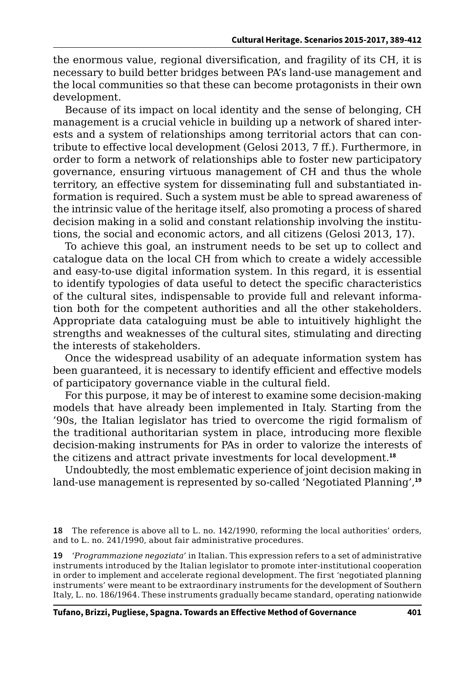the enormous value, regional diversification, and fragility of its CH, it is necessary to build better bridges between PA's land-use management and the local communities so that these can become protagonists in their own development.

Because of its impact on local identity and the sense of belonging, CH management is a crucial vehicle in building up a network of shared interests and a system of relationships among territorial actors that can contribute to effective local development (Gelosi 2013, 7 ff.). Furthermore, in order to form a network of relationships able to foster new participatory governance, ensuring virtuous management of CH and thus the whole territory, an effective system for disseminating full and substantiated information is required. Such a system must be able to spread awareness of the intrinsic value of the heritage itself, also promoting a process of shared decision making in a solid and constant relationship involving the institutions, the social and economic actors, and all citizens (Gelosi 2013, 17).

To achieve this goal, an instrument needs to be set up to collect and catalogue data on the local CH from which to create a widely accessible and easy-to-use digital information system. In this regard, it is essential to identify typologies of data useful to detect the specific characteristics of the cultural sites, indispensable to provide full and relevant information both for the competent authorities and all the other stakeholders. Appropriate data cataloguing must be able to intuitively highlight the strengths and weaknesses of the cultural sites, stimulating and directing the interests of stakeholders.

Once the widespread usability of an adequate information system has been guaranteed, it is necessary to identify efficient and effective models of participatory governance viable in the cultural field.

For this purpose, it may be of interest to examine some decision-making models that have already been implemented in Italy. Starting from the '90s, the Italian legislator has tried to overcome the rigid formalism of the traditional authoritarian system in place, introducing more flexible decision-making instruments for PAs in order to valorize the interests of the citizens and attract private investments for local development.**<sup>18</sup>**

Undoubtedly, the most emblematic experience of joint decision making in land-use management is represented by so-called 'Negotiated Planning',**<sup>19</sup>**

**18** The reference is above all to L. no. 142/1990, reforming the local authorities' orders, and to L. no. 241/1990, about fair administrative procedures.

**19** '*Programmazione negoziata'* in Italian. This expression refers to a set of administrative instruments introduced by the Italian legislator to promote inter-institutional cooperation in order to implement and accelerate regional development. The first 'negotiated planning instruments' were meant to be extraordinary instruments for the development of Southern Italy, L. no. 186/1964. These instruments gradually became standard, operating nationwide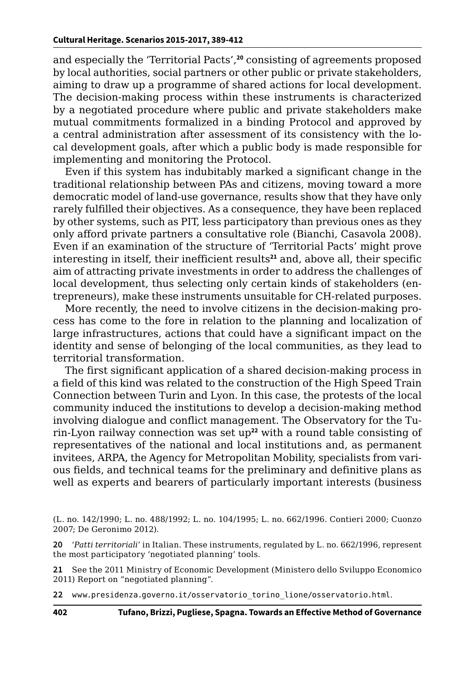and especially the 'Territorial Pacts',**<sup>20</sup>** consisting of agreements proposed by local authorities, social partners or other public or private stakeholders, aiming to draw up a programme of shared actions for local development. The decision-making process within these instruments is characterized by a negotiated procedure where public and private stakeholders make mutual commitments formalized in a binding Protocol and approved by a central administration after assessment of its consistency with the local development goals, after which a public body is made responsible for implementing and monitoring the Protocol.

Even if this system has indubitably marked a significant change in the traditional relationship between PAs and citizens, moving toward a more democratic model of land-use governance, results show that they have only rarely fulfilled their objectives. As a consequence, they have been replaced by other systems, such as PIT, less participatory than previous ones as they only afford private partners a consultative role (Bianchi, Casavola 2008). Even if an examination of the structure of 'Territorial Pacts' might prove interesting in itself, their inefficient results**<sup>21</sup>** and, above all, their specific aim of attracting private investments in order to address the challenges of local development, thus selecting only certain kinds of stakeholders (entrepreneurs), make these instruments unsuitable for CH-related purposes.

More recently, the need to involve citizens in the decision-making process has come to the fore in relation to the planning and localization of large infrastructures, actions that could have a significant impact on the identity and sense of belonging of the local communities, as they lead to territorial transformation.

The first significant application of a shared decision-making process in a field of this kind was related to the construction of the High Speed Train Connection between Turin and Lyon. In this case, the protests of the local community induced the institutions to develop a decision-making method involving dialogue and conflict management. The Observatory for the Turin-Lyon railway connection was set up**<sup>22</sup>** with a round table consisting of representatives of the national and local institutions and, as permanent invitees, ARPA, the Agency for Metropolitan Mobility, specialists from various fields, and technical teams for the preliminary and definitive plans as well as experts and bearers of particularly important interests (business

**21** See the 2011 Ministry of Economic Development (Ministero dello Sviluppo Economico 2011) Report on "negotiated planning".

**22** www.presidenza.governo.it/osservatorio\_torino\_lione/osservatorio.html.

<sup>(</sup>L. no. 142/1990; L. no. 488/1992; L. no. 104/1995; L. no. 662/1996. Contieri 2000; Cuonzo 2007; De Geronimo 2012).

**<sup>20</sup>** '*Patti territoriali*' in Italian. These instruments, regulated by L. no. 662/1996, represent the most participatory 'negotiated planning' tools.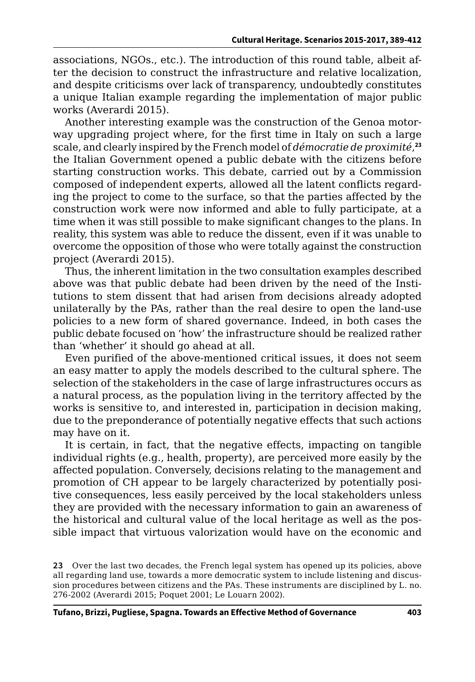associations, NGOs., etc.). The introduction of this round table, albeit after the decision to construct the infrastructure and relative localization, and despite criticisms over lack of transparency, undoubtedly constitutes a unique Italian example regarding the implementation of major public works (Averardi 2015).

Another interesting example was the construction of the Genoa motorway upgrading project where, for the first time in Italy on such a large scale, and clearly inspired by the French model of *démocratie de proximité*, **23** the Italian Government opened a public debate with the citizens before starting construction works. This debate, carried out by a Commission composed of independent experts, allowed all the latent conflicts regarding the project to come to the surface, so that the parties affected by the construction work were now informed and able to fully participate, at a time when it was still possible to make significant changes to the plans. In reality, this system was able to reduce the dissent, even if it was unable to overcome the opposition of those who were totally against the construction project (Averardi 2015).

Thus, the inherent limitation in the two consultation examples described above was that public debate had been driven by the need of the Institutions to stem dissent that had arisen from decisions already adopted unilaterally by the PAs, rather than the real desire to open the land-use policies to a new form of shared governance. Indeed, in both cases the public debate focused on 'how' the infrastructure should be realized rather than 'whether' it should go ahead at all.

Even purified of the above-mentioned critical issues, it does not seem an easy matter to apply the models described to the cultural sphere. The selection of the stakeholders in the case of large infrastructures occurs as a natural process, as the population living in the territory affected by the works is sensitive to, and interested in, participation in decision making, due to the preponderance of potentially negative effects that such actions may have on it.

It is certain, in fact, that the negative effects, impacting on tangible individual rights (e.g., health, property), are perceived more easily by the affected population. Conversely, decisions relating to the management and promotion of CH appear to be largely characterized by potentially positive consequences, less easily perceived by the local stakeholders unless they are provided with the necessary information to gain an awareness of the historical and cultural value of the local heritage as well as the possible impact that virtuous valorization would have on the economic and

**<sup>23</sup>** Over the last two decades, the French legal system has opened up its policies, above all regarding land use, towards a more democratic system to include listening and discussion procedures between citizens and the PAs. These instruments are disciplined by L. no. 276-2002 (Averardi 2015; Poquet 2001; Le Louarn 2002).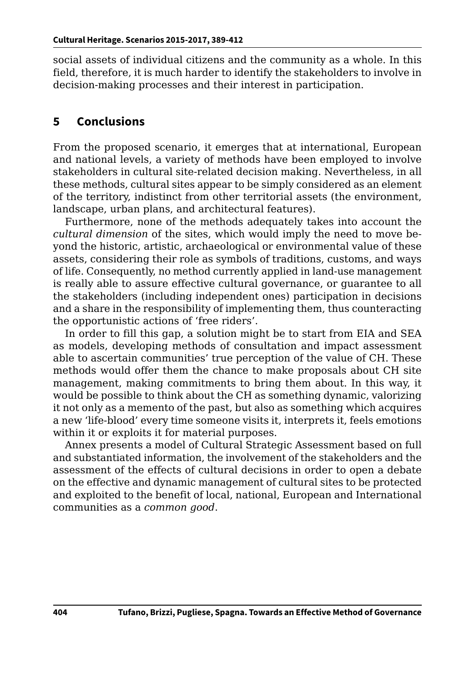social assets of individual citizens and the community as a whole. In this field, therefore, it is much harder to identify the stakeholders to involve in decision-making processes and their interest in participation.

# **5 Conclusions**

From the proposed scenario, it emerges that at international, European and national levels, a variety of methods have been employed to involve stakeholders in cultural site-related decision making. Nevertheless, in all these methods, cultural sites appear to be simply considered as an element of the territory, indistinct from other territorial assets (the environment, landscape, urban plans, and architectural features).

Furthermore, none of the methods adequately takes into account the *cultural dimension* of the sites, which would imply the need to move beyond the historic, artistic, archaeological or environmental value of these assets, considering their role as symbols of traditions, customs, and ways of life. Consequently, no method currently applied in land-use management is really able to assure effective cultural governance, or guarantee to all the stakeholders (including independent ones) participation in decisions and a share in the responsibility of implementing them, thus counteracting the opportunistic actions of 'free riders'.

In order to fill this gap, a solution might be to start from EIA and SEA as models, developing methods of consultation and impact assessment able to ascertain communities' true perception of the value of CH. These methods would offer them the chance to make proposals about CH site management, making commitments to bring them about. In this way, it would be possible to think about the CH as something dynamic, valorizing it not only as a memento of the past, but also as something which acquires a new 'life-blood' every time someone visits it, interprets it, feels emotions within it or exploits it for material purposes.

Annex presents a model of Cultural Strategic Assessment based on full and substantiated information, the involvement of the stakeholders and the assessment of the effects of cultural decisions in order to open a debate on the effective and dynamic management of cultural sites to be protected and exploited to the benefit of local, national, European and International communities as a *common good*.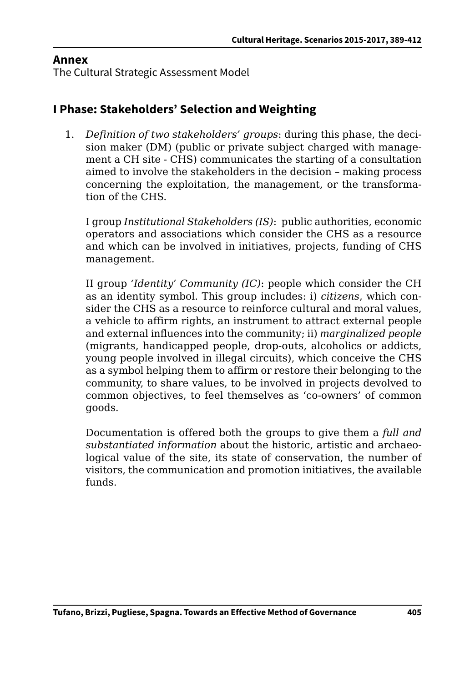### **Annex**

The Cultural Strategic Assessment Model

# **I Phase: Stakeholders' Selection and Weighting**

1. *Definition of two stakeholders' groups*: during this phase, the decision maker (DM) (public or private subject charged with management a CH site - CHS) communicates the starting of a consultation aimed to involve the stakeholders in the decision – making process concerning the exploitation, the management, or the transformation of the CHS.

I group *Institutional Stakeholders (IS)*: public authorities, economic operators and associations which consider the CHS as a resource and which can be involved in initiatives, projects, funding of CHS management.

II group *'Identity' Community (IC)*: people which consider the CH as an identity symbol. This group includes: i) *citizens*, which consider the CHS as a resource to reinforce cultural and moral values, a vehicle to affirm rights, an instrument to attract external people and external influences into the community; ii) *marginalized people* (migrants, handicapped people, drop-outs, alcoholics or addicts, young people involved in illegal circuits), which conceive the CHS as a symbol helping them to affirm or restore their belonging to the community, to share values, to be involved in projects devolved to common objectives, to feel themselves as 'co-owners' of common goods.

Documentation is offered both the groups to give them a *full and substantiated information* about the historic, artistic and archaeological value of the site, its state of conservation, the number of visitors, the communication and promotion initiatives, the available funds.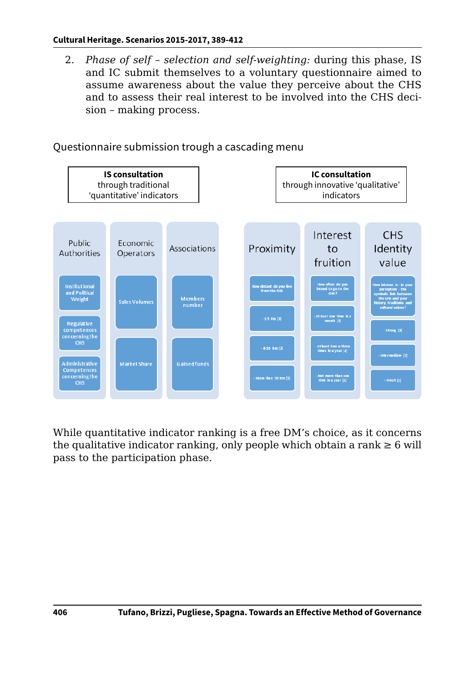2. *Phase of self – selection and self-weighting:* during this phase, IS and IC submit themselves to a voluntary questionnaire aimed to assume awareness about the value they perceive about the CHS and to assess their real interest to be involved into the CHS decision – making process.



Questionnaire submission trough a cascading menu

While quantitative indicator ranking is a free DM's choice, as it concerns the qualitative indicator ranking, only people which obtain a rank  $\geq 6$  will pass to the participation phase.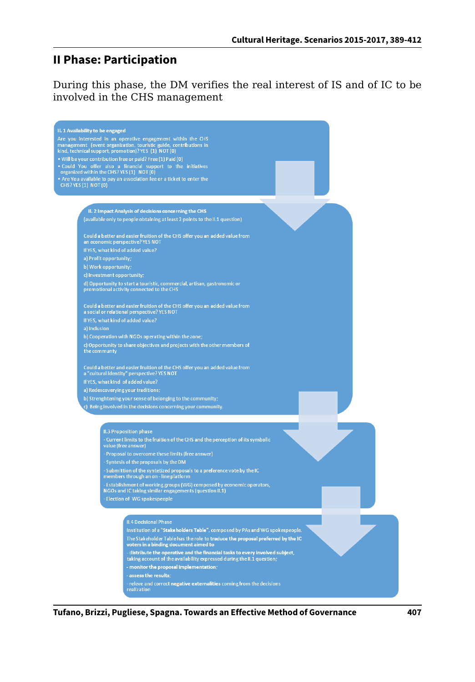# **II Phase: Participation**

During this phase, the DM verifies the real interest of IS and of IC to be involved in the CHS management



**Tufano, Brizzi, Pugliese, Spagna. Towards an Effective Method of Governance 407**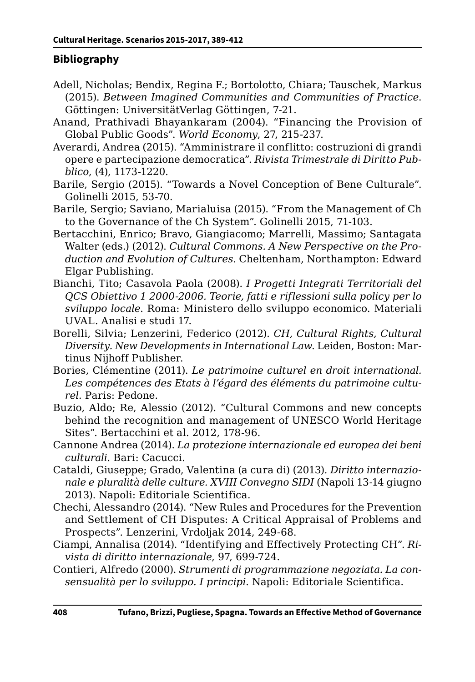### **Bibliography**

- Adell, Nicholas; Bendix, Regina F.; Bortolotto, Chiara; Tauschek, Markus (2015). *Between Imagined Communities and Communities of Practice*. Göttingen: UniversitätVerlag Göttingen, 7-21.
- Anand, Prathivadi Bhayankaram (2004). "Financing the Provision of Global Public Goods". *World Economy*, 27, 215-237.
- Averardi, Andrea (2015). "Amministrare il conflitto: costruzioni di grandi opere e partecipazione democratica". *Rivista Trimestrale di Diritto Pubblico*, (4), 1173-1220.
- Barile, Sergio (2015). "Towards a Novel Conception of Bene Culturale". Golinelli 2015, 53-70.
- Barile, Sergio; Saviano, Marialuisa (2015). "From the Management of Ch to the Governance of the Ch System". Golinelli 2015, 71-103.
- Bertacchini, Enrico; Bravo, Giangiacomo; Marrelli, Massimo; Santagata Walter (eds.) (2012). *Cultural Commons. A New Perspective on the Production and Evolution of Cultures*. Cheltenham, Northampton: Edward Elgar Publishing.
- Bianchi, Tito; Casavola Paola (2008). *I Progetti Integrati Territoriali del QCS Obiettivo 1 2000-2006. Teorie, fatti e riflessioni sulla policy per lo sviluppo locale*. Roma: Ministero dello sviluppo economico. Materiali UVAL. Analisi e studi 17.
- Borelli, Silvia; Lenzerini, Federico (2012). *CH, Cultural Rights, Cultural Diversity. New Developments in International Law*. Leiden, Boston: Martinus Nijhoff Publisher.
- Bories, Clémentine (2011). *Le patrimoine culturel en droit international. Les compétences des Etats à l'égard des éléments du patrimoine culturel*. Paris: Pedone.
- Buzio, Aldo; Re, Alessio (2012). "Cultural Commons and new concepts behind the recognition and management of UNESCO World Heritage Sites". Bertacchini et al. 2012, 178-96.
- Cannone Andrea (2014). *La protezione internazionale ed europea dei beni culturali*. Bari: Cacucci.
- Cataldi, Giuseppe; Grado, Valentina (a cura di) (2013). *Diritto internazionale e pluralità delle culture. XVIII Convegno SIDI* (Napoli 13-14 giugno 2013). Napoli: Editoriale Scientifica.
- Chechi, Alessandro (2014). "New Rules and Procedures for the Prevention and Settlement of CH Disputes: A Critical Appraisal of Problems and Prospects". Lenzerini, Vrdoljak 2014, 249-68.
- Ciampi, Annalisa (2014). "Identifying and Effectively Protecting CH". *Rivista di diritto internazionale*, 97, 699-724.
- Contieri, Alfredo (2000). *Strumenti di programmazione negoziata. La consensualità per lo sviluppo. I principi*. Napoli: Editoriale Scientifica.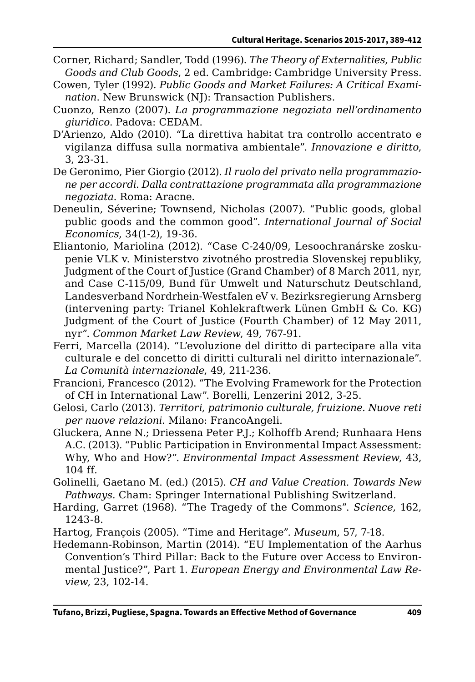- Corner, Richard; Sandler, Todd (1996). *The Theory of Externalities, Public Goods and Club Goods*, 2 ed. Cambridge: Cambridge University Press.
- Cowen, Tyler (1992). *Public Goods and Market Failures: A Critical Examination*. New Brunswick (NJ): Transaction Publishers.
- Cuonzo, Renzo (2007). *La programmazione negoziata nell'ordinamento giuridico*. Padova: CEDAM.
- D'Arienzo, Aldo (2010). "La direttiva habitat tra controllo accentrato e vigilanza diffusa sulla normativa ambientale". *Innovazione e diritto*, 3, 23-31.
- De Geronimo, Pier Giorgio (2012). *Il ruolo del privato nella programmazione per accordi. Dalla contrattazione programmata alla programmazione negoziata*. Roma: Aracne.
- Deneulin, Séverine; Townsend, Nicholas (2007). "Public goods, global public goods and the common good". *International Journal of Social Economics*, 34(1-2), 19-36.
- Eliantonio, Mariolina (2012). "Case C-240/09, Lesoochranárske zoskupenie VLK v. Ministerstvo zivotného prostredia Slovenskej republiky, Judgment of the Court of Justice (Grand Chamber) of 8 March 2011, nyr, and Case C-115/09, Bund für Umwelt und Naturschutz Deutschland, Landesverband Nordrhein-Westfalen eV v. Bezirksregierung Arnsberg (intervening party: Trianel Kohlekraftwerk Lünen GmbH & Co. KG) Judgment of the Court of Justice (Fourth Chamber) of 12 May 2011, nyr". *Common Market Law Review*, 49, 767-91.
- Ferri, Marcella (2014). "L'evoluzione del diritto di partecipare alla vita culturale e del concetto di diritti culturali nel diritto internazionale". *La Comunità internazionale*, 49, 211-236.
- Francioni, Francesco (2012). "The Evolving Framework for the Protection of CH in International Law". Borelli, Lenzerini 2012, 3-25.
- Gelosi, Carlo (2013). *Territori, patrimonio culturale, fruizione. Nuove reti per nuove relazioni*. Milano: FrancoAngeli.
- Gluckera, Anne N.; Driessena Peter P.J.; Kolhoffb Arend; Runhaara Hens A.C. (2013). "Public Participation in Environmental Impact Assessment: Why, Who and How?". *Environmental Impact Assessment Review*, 43, 104 ff.
- Golinelli, Gaetano M. (ed.) (2015). *CH and Value Creation. Towards New Pathways*. Cham: Springer International Publishing Switzerland.
- Harding, Garret (1968). "The Tragedy of the Commons". *Science*, 162, 1243-8.
- Hartog, François (2005). "Time and Heritage". *Museum*, 57, 7-18.
- Hedemann-Robinson, Martin (2014). "EU Implementation of the Aarhus Convention's Third Pillar: Back to the Future over Access to Environmental Justice?", Part 1. *European Energy and Environmental Law Review*, 23, 102-14.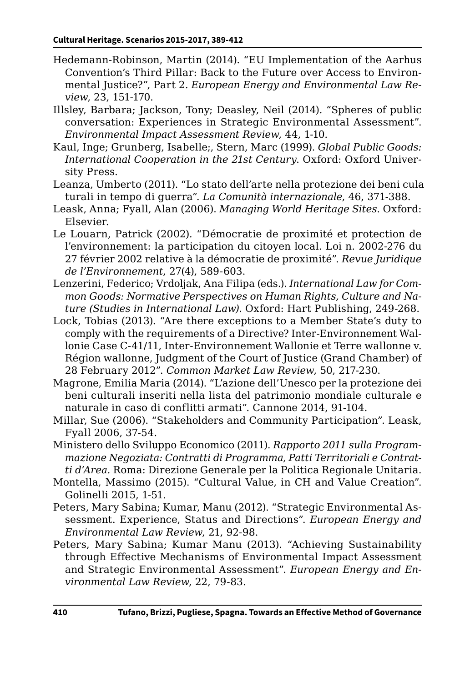- Hedemann-Robinson, Martin (2014). "EU Implementation of the Aarhus Convention's Third Pillar: Back to the Future over Access to Environmental Justice?", Part 2. *European Energy and Environmental Law Review*, 23, 151-170.
- Illsley, Barbara; Jackson, Tony; Deasley, Neil (2014). "Spheres of public conversation: Experiences in Strategic Environmental Assessment". *Environmental Impact Assessment Review*, 44, 1-10.
- Kaul, Inge; Grunberg, Isabelle;, Stern, Marc (1999). *Global Public Goods: International Cooperation in the 21st Century*. Oxford: Oxford University Press.
- Leanza, Umberto (2011). "Lo stato dell'arte nella protezione dei beni culaturali in tempo di guerra". *La Comunità internazionale*, 46, 371-388.
- Leask, Anna; Fyall, Alan (2006). *Managing World Heritage Sites*. Oxford: Elsevier.
- Le Louarn, Patrick (2002). "Démocratie de proximité et protection de l'environnement: la participation du citoyen local. Loi n. 2002-276 du 27 février 2002 relative à la démocratie de proximité". *Revue Juridique de l'Environnement*, 27(4), 589-603.
- Lenzerini, Federico; Vrdoljak, Ana Filipa (eds.). *International Law for Common Goods: Normative Perspectives on Human Rights, Culture and Nature (Studies in International Law)*. Oxford: Hart Publishing, 249-268.
- Lock, Tobias (2013). "Are there exceptions to a Member State's duty to comply with the requirements of a Directive? Inter-Environnement Wallonie Case C-41/11, Inter-Environnement Wallonie et Terre wallonne v. Région wallonne, Judgment of the Court of Justice (Grand Chamber) of 28 February 2012". *Common Market Law Review*, 50, 217-230.
- Magrone, Emilia Maria (2014). "L'azione dell'Unesco per la protezione dei beni culturali inseriti nella lista del patrimonio mondiale culturale e naturale in caso di conflitti armati". Cannone 2014, 91-104.
- Millar, Sue (2006). "Stakeholders and Community Participation". Leask, Fyall 2006, 37-54.
- Ministero dello Sviluppo Economico (2011). *Rapporto 2011 sulla Programmazione Negoziata: Contratti di Programma, Patti Territoriali e Contratti d'Area*. Roma: Direzione Generale per la Politica Regionale Unitaria.
- Montella, Massimo (2015). "Cultural Value, in CH and Value Creation". Golinelli 2015, 1-51.
- Peters, Mary Sabina; Kumar, Manu (2012). "Strategic Environmental Assessment. Experience, Status and Directions". *European Energy and Environmental Law Review*, 21, 92-98.
- Peters, Mary Sabina; Kumar Manu (2013). "Achieving Sustainability through Effective Mechanisms of Environmental Impact Assessment and Strategic Environmental Assessment". *European Energy and Environmental Law Review*, 22, 79-83.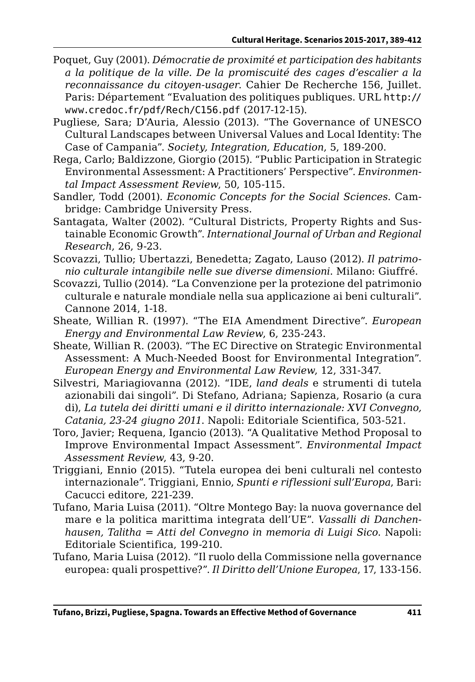- Poquet, Guy (2001). *Démocratie de proximité et participation des habitants a la politique de la ville. De la promiscuité des cages d'escalier a la reconnaissance du citoyen-usager*. Cahier De Recherche 156, Juillet. Paris: Département "Evaluation des politiques publiques. URL [http://](http://www.credoc.fr/pdf/Rech/C156.pdf) [www.credoc.fr/pdf/Rech/C156.pdf](http://www.credoc.fr/pdf/Rech/C156.pdf) (2017-12-15).
- Pugliese, Sara; D'Auria, Alessio (2013). "The Governance of UNESCO Cultural Landscapes between Universal Values and Local Identity: The Case of Campania". *Society, Integration, Education*, 5, 189-200.
- Rega, Carlo; Baldizzone, Giorgio (2015). "Public Participation in Strategic Environmental Assessment: A Practitioners' Perspective". *Environmental Impact Assessment Review*, 50, 105-115.
- Sandler, Todd (2001). *Economic Concepts for the Social Sciences*. Cambridge: Cambridge University Press.
- Santagata, Walter (2002). "Cultural Districts, Property Rights and Sustainable Economic Growth". *International Journal of Urban and Regional Research*, 26, 9-23.
- Scovazzi, Tullio; Ubertazzi, Benedetta; Zagato, Lauso (2012). *Il patrimonio culturale intangibile nelle sue diverse dimensioni*. Milano: Giuffré.
- Scovazzi, Tullio (2014). "La Convenzione per la protezione del patrimonio culturale e naturale mondiale nella sua applicazione ai beni culturali". Cannone 2014, 1-18.
- Sheate, Willian R. (1997). "The EIA Amendment Directive". *European Energy and Environmental Law Review*, 6, 235-243.
- Sheate, Willian R. (2003). "The EC Directive on Strategic Environmental Assessment: A Much-Needed Boost for Environmental Integration". *European Energy and Environmental Law Review*, 12, 331-347.
- Silvestri, Mariagiovanna (2012). "IDE, *land deals* e strumenti di tutela azionabili dai singoli". Di Stefano, Adriana; Sapienza, Rosario (a cura di), *La tutela dei diritti umani e il diritto internazionale: XVI Convegno, Catania, 23-24 giugno 2011*. Napoli: Editoriale Scientifica, 503-521.
- Toro, Javier; Requena, Igancio (2013). "A Qualitative Method Proposal to Improve Environmental Impact Assessment". *Environmental Impact Assessment Review*, 43, 9-20.
- Triggiani, Ennio (2015). "Tutela europea dei beni culturali nel contesto internazionale". Triggiani, Ennio, *Spunti e riflessioni sull'Europa*, Bari: Cacucci editore, 221-239.
- Tufano, Maria Luisa (2011). "Oltre Montego Bay: la nuova governance del mare e la politica marittima integrata dell'UE". *Vassalli di Danchenhausen, Talitha* = *Atti del Convegno in memoria di Luigi Sico*. Napoli: Editoriale Scientifica, 199-210.
- Tufano, Maria Luisa (2012). "Il ruolo della Commissione nella governance europea: quali prospettive?". *Il Diritto dell'Unione Europea*, 17, 133-156.